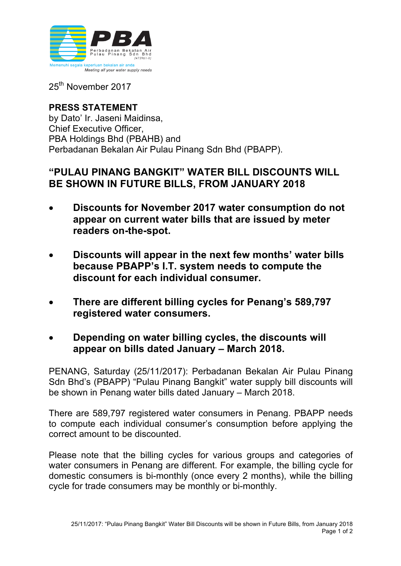

25<sup>th</sup> November 2017

## **PRESS STATEMENT** by Dato' Ir. Jaseni Maidinsa, Chief Executive Officer, PBA Holdings Bhd (PBAHB) and Perbadanan Bekalan Air Pulau Pinang Sdn Bhd (PBAPP).

## **"PULAU PINANG BANGKIT" WATER BILL DISCOUNTS WILL BE SHOWN IN FUTURE BILLS, FROM JANUARY 2018**

- **Discounts for November 2017 water consumption do not appear on current water bills that are issued by meter readers on-the-spot.**
- **Discounts will appear in the next few months' water bills because PBAPP's I.T. system needs to compute the discount for each individual consumer.**
- **There are different billing cycles for Penang's 589,797 registered water consumers.**
- **Depending on water billing cycles, the discounts will appear on bills dated January – March 2018.**

PENANG, Saturday (25/11/2017): Perbadanan Bekalan Air Pulau Pinang Sdn Bhd's (PBAPP) "Pulau Pinang Bangkit" water supply bill discounts will be shown in Penang water bills dated January – March 2018.

There are 589,797 registered water consumers in Penang. PBAPP needs to compute each individual consumer's consumption before applying the correct amount to be discounted.

Please note that the billing cycles for various groups and categories of water consumers in Penang are different. For example, the billing cycle for domestic consumers is bi-monthly (once every 2 months), while the billing cycle for trade consumers may be monthly or bi-monthly.